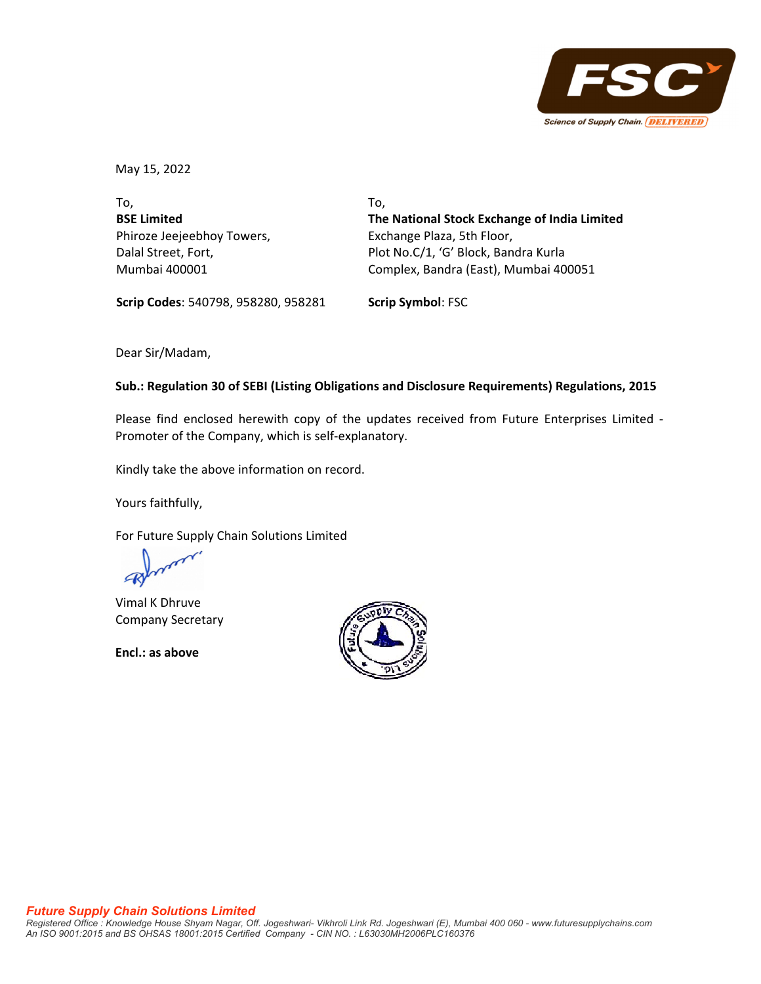

May 15, 2022

To, **BSE Limited** Phiroze Jeejeebhoy Towers, Dalal Street, Fort, Mumbai 400001

To, **The National Stock Exchange of India Limited** Exchange Plaza, 5th Floor, Plot No.C/1, 'G' Block, Bandra Kurla Complex, Bandra (East), Mumbai 400051

**Scrip Codes**: 540798, 958280, 958281 **Scrip Symbol**: FSC

Dear Sir/Madam,

## **Sub.: Regulation 30 of SEBI (Listing Obligations and Disclosure Requirements) Regulations, 2015**

Please find enclosed herewith copy of the updates received from Future Enterprises Limited ‐ Promoter of the Company, which is self‐explanatory.

Kindly take the above information on record.

Yours faithfully,

For Future Supply Chain Solutions Limited

Vimal K Dhruve Company Secretary

**Encl.: as above**

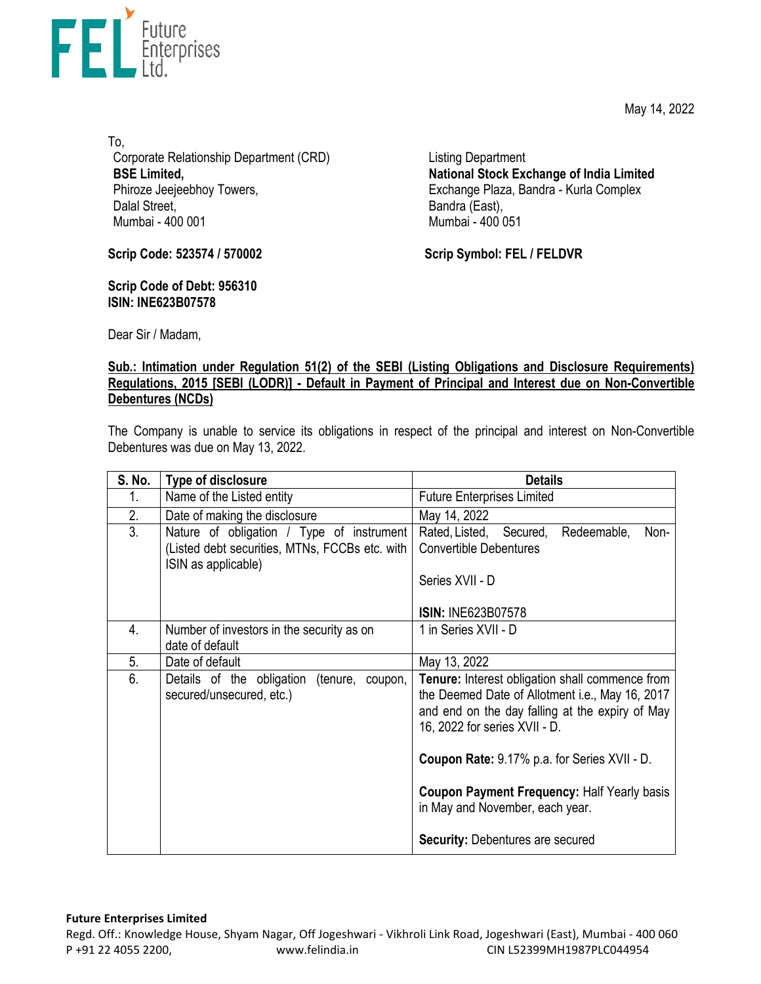May 14, 2022



To, Corporate Relationship Department (CRD) **BSE Limited,**  Phiroze Jeejeebhoy Towers, Dalal Street, Mumbai - 400 001

Listing Department **National Stock Exchange of India Limited**  Exchange Plaza, Bandra - Kurla Complex Bandra (East), Mumbai - 400 051

**Scrip Code: 523574 / 570002**

**Scrip Code of Debt: 956310 ISIN: INE623B07578** 

**Scrip Symbol: FEL / FELDVR**

Dear Sir / Madam,

## **Sub.: Intimation under Regulation 51(2) of the SEBI (Listing Obligations and Disclosure Requirements) Regulations, 2015 [SEBI (LODR)] - Default in Payment of Principal and Interest due on Non-Convertible Debentures (NCDs)**

The Company is unable to service its obligations in respect of the principal and interest on Non-Convertible Debentures was due on May 13, 2022.

| <b>S. No.</b> | Type of disclosure                                                                                                 | <b>Details</b>                                                                                                                                                                         |
|---------------|--------------------------------------------------------------------------------------------------------------------|----------------------------------------------------------------------------------------------------------------------------------------------------------------------------------------|
| 1.            | Name of the Listed entity                                                                                          | <b>Future Enterprises Limited</b>                                                                                                                                                      |
| 2.            | Date of making the disclosure                                                                                      | May 14, 2022                                                                                                                                                                           |
| 3.            | Nature of obligation / Type of instrument<br>(Listed debt securities, MTNs, FCCBs etc. with<br>ISIN as applicable) | Rated, Listed, Secured,<br>Redeemable,<br>Non-<br><b>Convertible Debentures</b><br>Series XVII - D                                                                                     |
|               |                                                                                                                    | <b>ISIN: INE623B07578</b>                                                                                                                                                              |
| 4.            | Number of investors in the security as on<br>date of default                                                       | 1 in Series XVII - D                                                                                                                                                                   |
| 5.            | Date of default                                                                                                    | May 13, 2022                                                                                                                                                                           |
| 6.            | Details of the obligation<br>(tenure,<br>coupon,<br>secured/unsecured, etc.)                                       | Tenure: Interest obligation shall commence from<br>the Deemed Date of Allotment i.e., May 16, 2017<br>and end on the day falling at the expiry of May<br>16, 2022 for series XVII - D. |
|               |                                                                                                                    | <b>Coupon Rate: 9.17% p.a. for Series XVII - D.</b>                                                                                                                                    |
|               |                                                                                                                    | <b>Coupon Payment Frequency: Half Yearly basis</b><br>in May and November, each year.                                                                                                  |
|               |                                                                                                                    | <b>Security: Debentures are secured</b>                                                                                                                                                |

## **Future Enterprises Limited**

Regd. Off.: Knowledge House, Shyam Nagar, Off Jogeshwari ‐ Vikhroli Link Road, Jogeshwari (East), Mumbai ‐ 400 060 P +91 22 4055 2200, www.felindia.in CIN L52399MH1987PLC044954